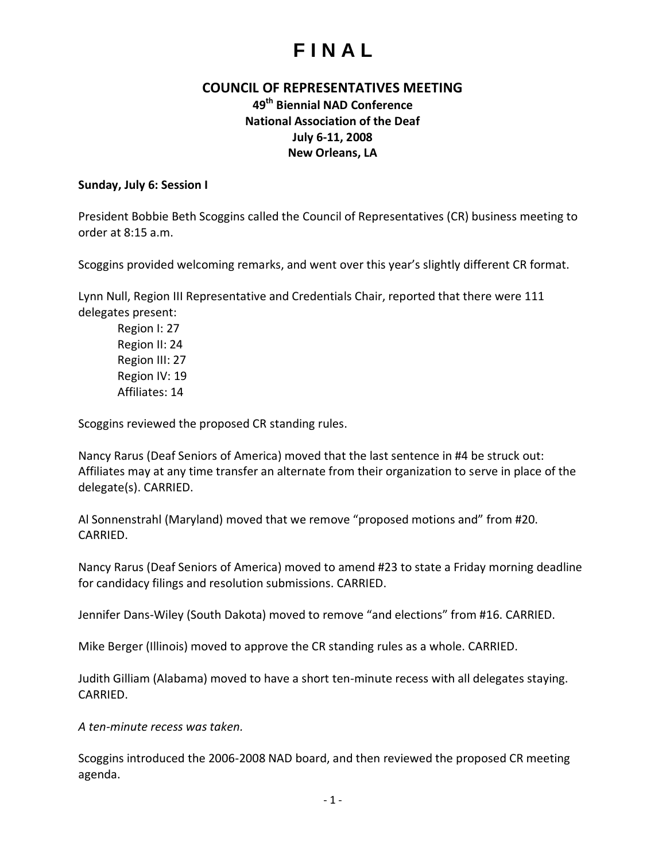### **COUNCIL OF REPRESENTATIVES MEETING**

### **49th Biennial NAD Conference National Association of the Deaf July 6-11, 2008 New Orleans, LA**

#### **Sunday, July 6: Session I**

President Bobbie Beth Scoggins called the Council of Representatives (CR) business meeting to order at 8:15 a.m.

Scoggins provided welcoming remarks, and went over this year's slightly different CR format.

Lynn Null, Region III Representative and Credentials Chair, reported that there were 111 delegates present:

Region I: 27 Region II: 24 Region III: 27 Region IV: 19 Affiliates: 14

Scoggins reviewed the proposed CR standing rules.

Nancy Rarus (Deaf Seniors of America) moved that the last sentence in #4 be struck out: Affiliates may at any time transfer an alternate from their organization to serve in place of the delegate(s). CARRIED.

Al Sonnenstrahl (Maryland) moved that we remove "proposed motions and" from #20. CARRIED.

Nancy Rarus (Deaf Seniors of America) moved to amend #23 to state a Friday morning deadline for candidacy filings and resolution submissions. CARRIED.

Jennifer Dans-Wiley (South Dakota) moved to remove "and elections" from #16. CARRIED.

Mike Berger (Illinois) moved to approve the CR standing rules as a whole. CARRIED.

Judith Gilliam (Alabama) moved to have a short ten-minute recess with all delegates staying. CARRIED.

*A ten-minute recess was taken.*

Scoggins introduced the 2006-2008 NAD board, and then reviewed the proposed CR meeting agenda.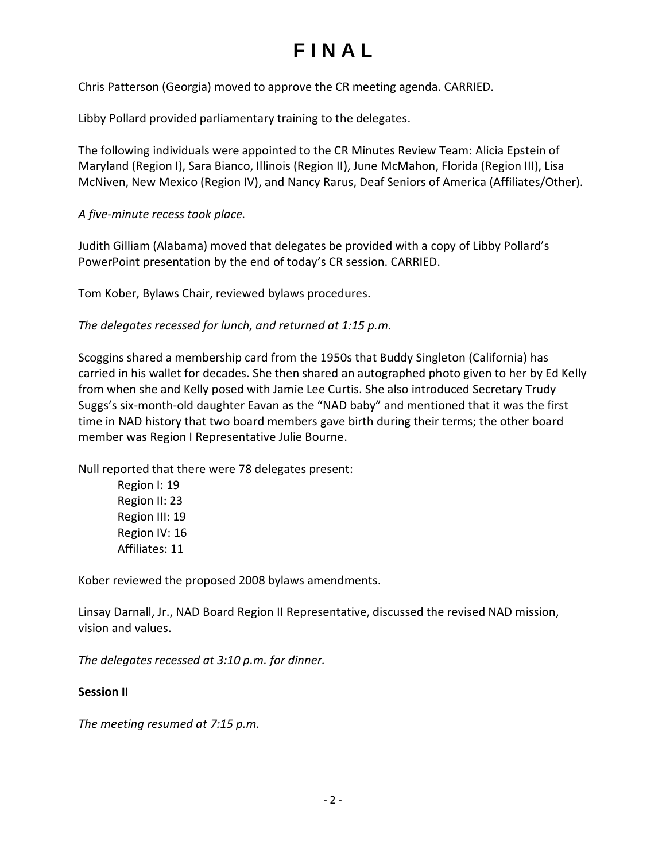Chris Patterson (Georgia) moved to approve the CR meeting agenda. CARRIED.

Libby Pollard provided parliamentary training to the delegates.

The following individuals were appointed to the CR Minutes Review Team: Alicia Epstein of Maryland (Region I), Sara Bianco, Illinois (Region II), June McMahon, Florida (Region III), Lisa McNiven, New Mexico (Region IV), and Nancy Rarus, Deaf Seniors of America (Affiliates/Other).

*A five-minute recess took place.*

Judith Gilliam (Alabama) moved that delegates be provided with a copy of Libby Pollard's PowerPoint presentation by the end of today's CR session. CARRIED.

Tom Kober, Bylaws Chair, reviewed bylaws procedures.

*The delegates recessed for lunch, and returned at 1:15 p.m.*

Scoggins shared a membership card from the 1950s that Buddy Singleton (California) has carried in his wallet for decades. She then shared an autographed photo given to her by Ed Kelly from when she and Kelly posed with Jamie Lee Curtis. She also introduced Secretary Trudy Suggs's six-month-old daughter Eavan as the "NAD baby" and mentioned that it was the first time in NAD history that two board members gave birth during their terms; the other board member was Region I Representative Julie Bourne.

Null reported that there were 78 delegates present:

Region I: 19 Region II: 23 Region III: 19 Region IV: 16 Affiliates: 11

Kober reviewed the proposed 2008 bylaws amendments.

Linsay Darnall, Jr., NAD Board Region II Representative, discussed the revised NAD mission, vision and values.

*The delegates recessed at 3:10 p.m. for dinner.*

#### **Session II**

*The meeting resumed at 7:15 p.m.*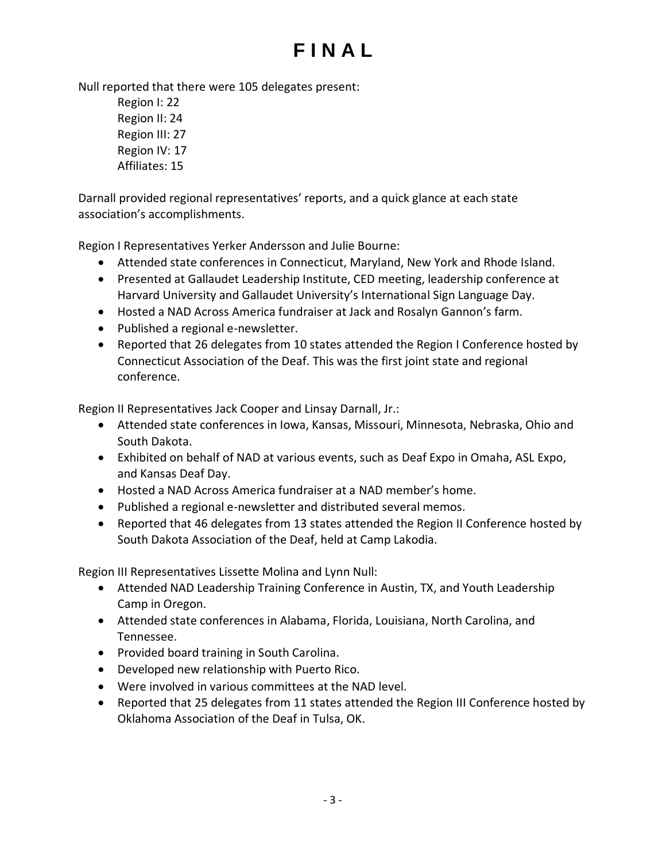Null reported that there were 105 delegates present:

Region I: 22 Region II: 24 Region III: 27 Region IV: 17 Affiliates: 15

Darnall provided regional representatives' reports, and a quick glance at each state association's accomplishments.

Region I Representatives Yerker Andersson and Julie Bourne:

- Attended state conferences in Connecticut, Maryland, New York and Rhode Island.
- Presented at Gallaudet Leadership Institute, CED meeting, leadership conference at Harvard University and Gallaudet University's International Sign Language Day.
- Hosted a NAD Across America fundraiser at Jack and Rosalyn Gannon's farm.
- Published a regional e-newsletter.
- Reported that 26 delegates from 10 states attended the Region I Conference hosted by Connecticut Association of the Deaf. This was the first joint state and regional conference.

Region II Representatives Jack Cooper and Linsay Darnall, Jr.:

- Attended state conferences in Iowa, Kansas, Missouri, Minnesota, Nebraska, Ohio and South Dakota.
- Exhibited on behalf of NAD at various events, such as Deaf Expo in Omaha, ASL Expo, and Kansas Deaf Day.
- Hosted a NAD Across America fundraiser at a NAD member's home.
- Published a regional e-newsletter and distributed several memos.
- Reported that 46 delegates from 13 states attended the Region II Conference hosted by South Dakota Association of the Deaf, held at Camp Lakodia.

Region III Representatives Lissette Molina and Lynn Null:

- Attended NAD Leadership Training Conference in Austin, TX, and Youth Leadership Camp in Oregon.
- Attended state conferences in Alabama, Florida, Louisiana, North Carolina, and Tennessee.
- Provided board training in South Carolina.
- Developed new relationship with Puerto Rico.
- Were involved in various committees at the NAD level.
- Reported that 25 delegates from 11 states attended the Region III Conference hosted by Oklahoma Association of the Deaf in Tulsa, OK.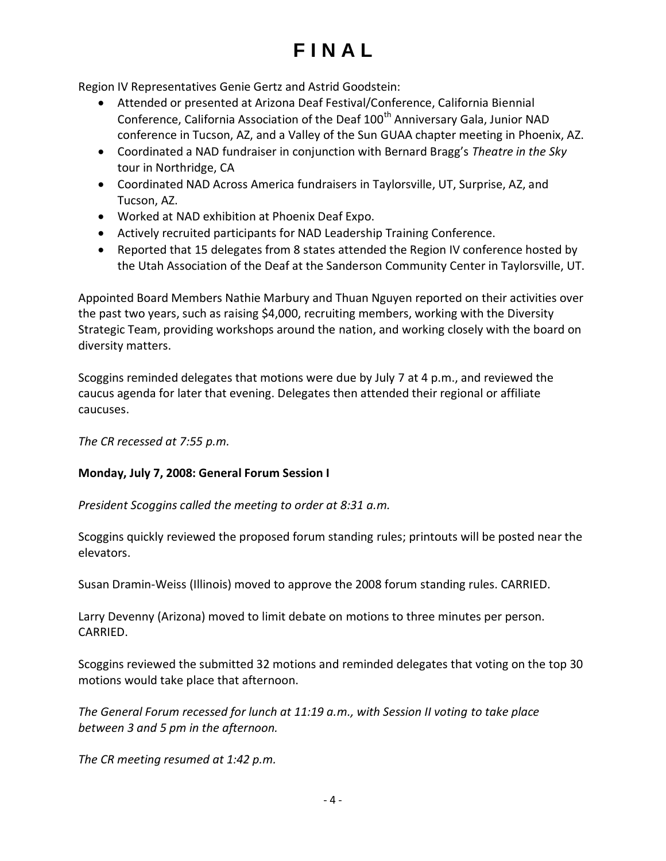Region IV Representatives Genie Gertz and Astrid Goodstein:

- Attended or presented at Arizona Deaf Festival/Conference, California Biennial Conference, California Association of the Deaf 100<sup>th</sup> Anniversary Gala, Junior NAD conference in Tucson, AZ, and a Valley of the Sun GUAA chapter meeting in Phoenix, AZ.
- Coordinated a NAD fundraiser in conjunction with Bernard Bragg's *Theatre in the Sky* tour in Northridge, CA
- Coordinated NAD Across America fundraisers in Taylorsville, UT, Surprise, AZ, and Tucson, AZ.
- Worked at NAD exhibition at Phoenix Deaf Expo.
- Actively recruited participants for NAD Leadership Training Conference.
- Reported that 15 delegates from 8 states attended the Region IV conference hosted by the Utah Association of the Deaf at the Sanderson Community Center in Taylorsville, UT.

Appointed Board Members Nathie Marbury and Thuan Nguyen reported on their activities over the past two years, such as raising \$4,000, recruiting members, working with the Diversity Strategic Team, providing workshops around the nation, and working closely with the board on diversity matters.

Scoggins reminded delegates that motions were due by July 7 at 4 p.m., and reviewed the caucus agenda for later that evening. Delegates then attended their regional or affiliate caucuses.

*The CR recessed at 7:55 p.m.*

#### **Monday, July 7, 2008: General Forum Session I**

*President Scoggins called the meeting to order at 8:31 a.m.*

Scoggins quickly reviewed the proposed forum standing rules; printouts will be posted near the elevators.

Susan Dramin-Weiss (Illinois) moved to approve the 2008 forum standing rules. CARRIED.

Larry Devenny (Arizona) moved to limit debate on motions to three minutes per person. CARRIED.

Scoggins reviewed the submitted 32 motions and reminded delegates that voting on the top 30 motions would take place that afternoon.

*The General Forum recessed for lunch at 11:19 a.m., with Session II voting to take place between 3 and 5 pm in the afternoon.*

*The CR meeting resumed at 1:42 p.m.*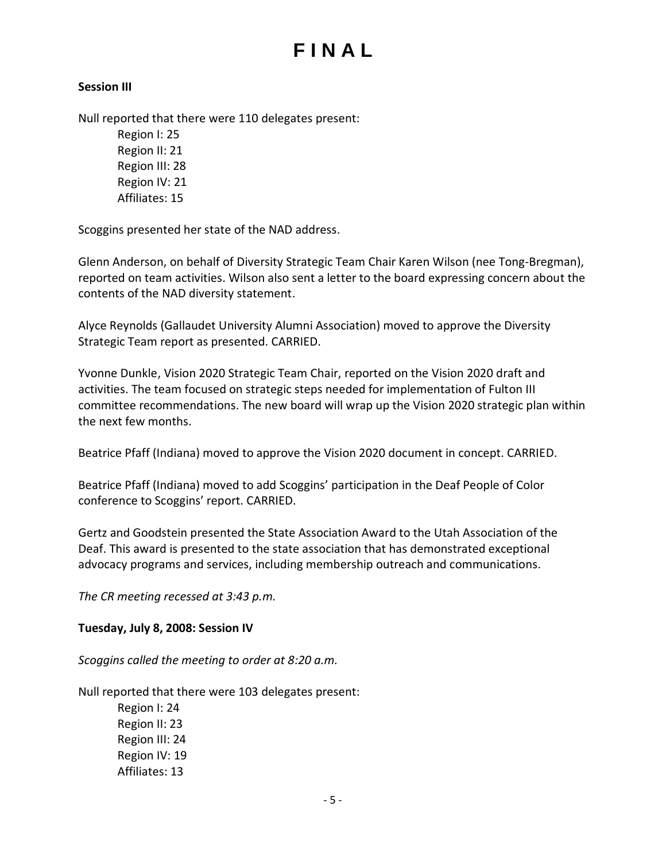#### **Session III**

Null reported that there were 110 delegates present:

Region I: 25 Region II: 21 Region III: 28 Region IV: 21 Affiliates: 15

Scoggins presented her state of the NAD address.

Glenn Anderson, on behalf of Diversity Strategic Team Chair Karen Wilson (nee Tong-Bregman), reported on team activities. Wilson also sent a letter to the board expressing concern about the contents of the NAD diversity statement.

Alyce Reynolds (Gallaudet University Alumni Association) moved to approve the Diversity Strategic Team report as presented. CARRIED.

Yvonne Dunkle, Vision 2020 Strategic Team Chair, reported on the Vision 2020 draft and activities. The team focused on strategic steps needed for implementation of Fulton III committee recommendations. The new board will wrap up the Vision 2020 strategic plan within the next few months.

Beatrice Pfaff (Indiana) moved to approve the Vision 2020 document in concept. CARRIED.

Beatrice Pfaff (Indiana) moved to add Scoggins' participation in the Deaf People of Color conference to Scoggins' report. CARRIED.

Gertz and Goodstein presented the State Association Award to the Utah Association of the Deaf. This award is presented to the state association that has demonstrated exceptional advocacy programs and services, including membership outreach and communications.

*The CR meeting recessed at 3:43 p.m.*

#### **Tuesday, July 8, 2008: Session IV**

*Scoggins called the meeting to order at 8:20 a.m.*

Null reported that there were 103 delegates present:

Region I: 24 Region II: 23 Region III: 24 Region IV: 19 Affiliates: 13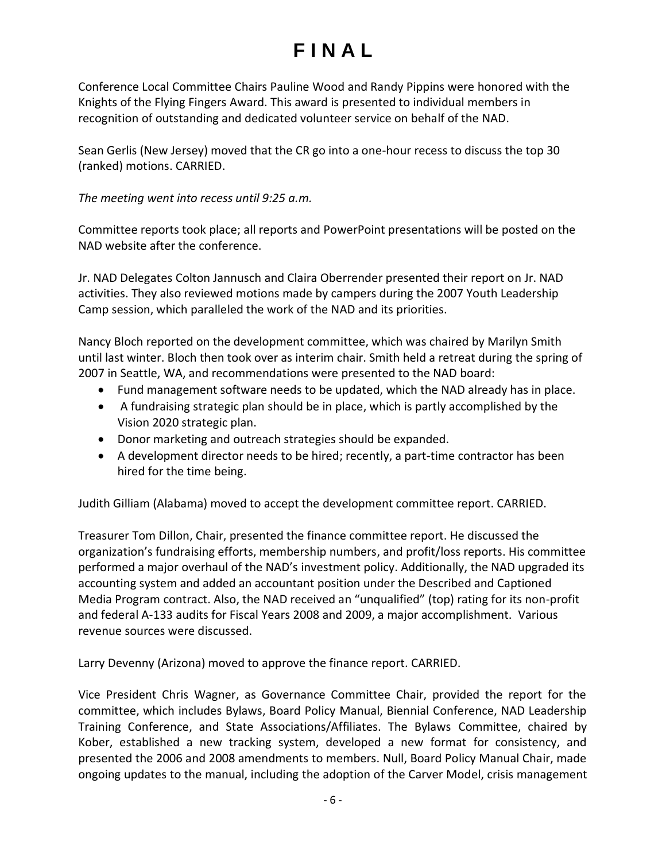Conference Local Committee Chairs Pauline Wood and Randy Pippins were honored with the Knights of the Flying Fingers Award. This award is presented to individual members in recognition of outstanding and dedicated volunteer service on behalf of the NAD.

Sean Gerlis (New Jersey) moved that the CR go into a one-hour recess to discuss the top 30 (ranked) motions. CARRIED.

*The meeting went into recess until 9:25 a.m.*

Committee reports took place; all reports and PowerPoint presentations will be posted on the NAD website after the conference.

Jr. NAD Delegates Colton Jannusch and Claira Oberrender presented their report on Jr. NAD activities. They also reviewed motions made by campers during the 2007 Youth Leadership Camp session, which paralleled the work of the NAD and its priorities.

Nancy Bloch reported on the development committee, which was chaired by Marilyn Smith until last winter. Bloch then took over as interim chair. Smith held a retreat during the spring of 2007 in Seattle, WA, and recommendations were presented to the NAD board:

- Fund management software needs to be updated, which the NAD already has in place.
- A fundraising strategic plan should be in place, which is partly accomplished by the Vision 2020 strategic plan.
- Donor marketing and outreach strategies should be expanded.
- A development director needs to be hired; recently, a part-time contractor has been hired for the time being.

Judith Gilliam (Alabama) moved to accept the development committee report. CARRIED.

Treasurer Tom Dillon, Chair, presented the finance committee report. He discussed the organization's fundraising efforts, membership numbers, and profit/loss reports. His committee performed a major overhaul of the NAD's investment policy. Additionally, the NAD upgraded its accounting system and added an accountant position under the Described and Captioned Media Program contract. Also, the NAD received an "unqualified" (top) rating for its non-profit and federal A-133 audits for Fiscal Years 2008 and 2009, a major accomplishment. Various revenue sources were discussed.

Larry Devenny (Arizona) moved to approve the finance report. CARRIED.

Vice President Chris Wagner, as Governance Committee Chair, provided the report for the committee, which includes Bylaws, Board Policy Manual, Biennial Conference, NAD Leadership Training Conference, and State Associations/Affiliates. The Bylaws Committee, chaired by Kober, established a new tracking system, developed a new format for consistency, and presented the 2006 and 2008 amendments to members. Null, Board Policy Manual Chair, made ongoing updates to the manual, including the adoption of the Carver Model, crisis management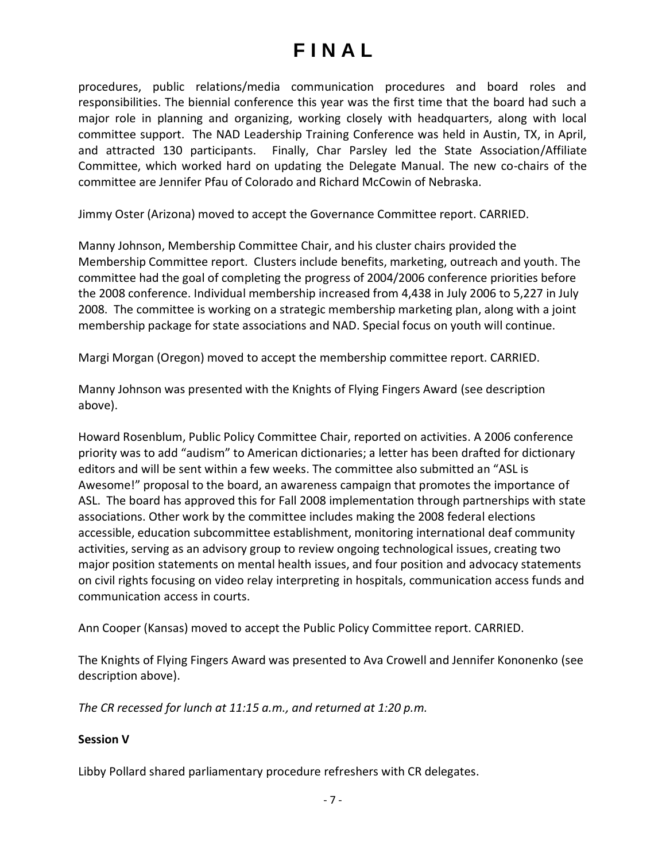procedures, public relations/media communication procedures and board roles and responsibilities. The biennial conference this year was the first time that the board had such a major role in planning and organizing, working closely with headquarters, along with local committee support. The NAD Leadership Training Conference was held in Austin, TX, in April, and attracted 130 participants. Finally, Char Parsley led the State Association/Affiliate Committee, which worked hard on updating the Delegate Manual. The new co-chairs of the committee are Jennifer Pfau of Colorado and Richard McCowin of Nebraska.

Jimmy Oster (Arizona) moved to accept the Governance Committee report. CARRIED.

Manny Johnson, Membership Committee Chair, and his cluster chairs provided the Membership Committee report. Clusters include benefits, marketing, outreach and youth. The committee had the goal of completing the progress of 2004/2006 conference priorities before the 2008 conference. Individual membership increased from 4,438 in July 2006 to 5,227 in July 2008. The committee is working on a strategic membership marketing plan, along with a joint membership package for state associations and NAD. Special focus on youth will continue.

Margi Morgan (Oregon) moved to accept the membership committee report. CARRIED.

Manny Johnson was presented with the Knights of Flying Fingers Award (see description above).

Howard Rosenblum, Public Policy Committee Chair, reported on activities. A 2006 conference priority was to add "audism" to American dictionaries; a letter has been drafted for dictionary editors and will be sent within a few weeks. The committee also submitted an "ASL is Awesome!" proposal to the board, an awareness campaign that promotes the importance of ASL. The board has approved this for Fall 2008 implementation through partnerships with state associations. Other work by the committee includes making the 2008 federal elections accessible, education subcommittee establishment, monitoring international deaf community activities, serving as an advisory group to review ongoing technological issues, creating two major position statements on mental health issues, and four position and advocacy statements on civil rights focusing on video relay interpreting in hospitals, communication access funds and communication access in courts.

Ann Cooper (Kansas) moved to accept the Public Policy Committee report. CARRIED.

The Knights of Flying Fingers Award was presented to Ava Crowell and Jennifer Kononenko (see description above).

*The CR recessed for lunch at 11:15 a.m., and returned at 1:20 p.m.* 

### **Session V**

Libby Pollard shared parliamentary procedure refreshers with CR delegates.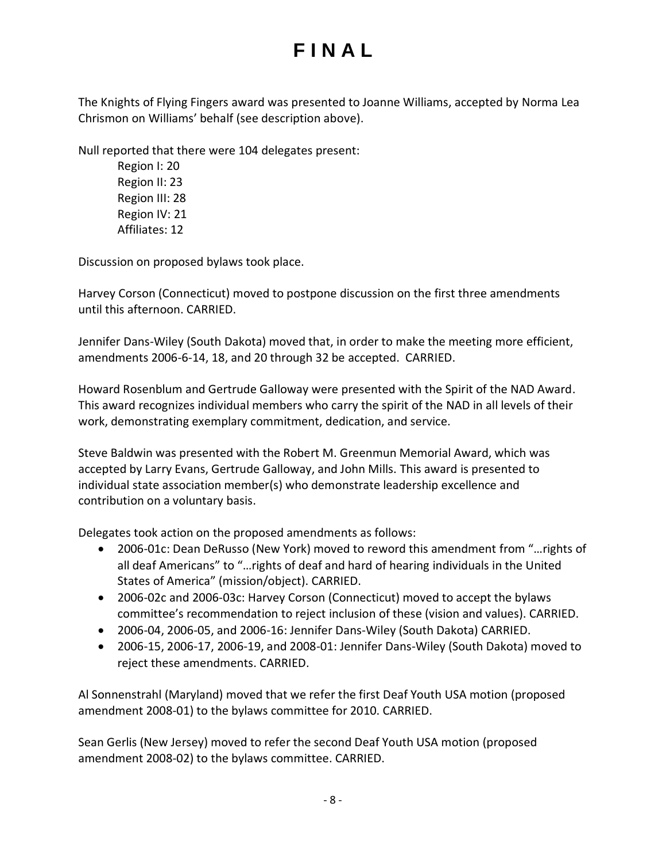The Knights of Flying Fingers award was presented to Joanne Williams, accepted by Norma Lea Chrismon on Williams' behalf (see description above).

Null reported that there were 104 delegates present:

Region I: 20 Region II: 23 Region III: 28 Region IV: 21 Affiliates: 12

Discussion on proposed bylaws took place.

Harvey Corson (Connecticut) moved to postpone discussion on the first three amendments until this afternoon. CARRIED.

Jennifer Dans-Wiley (South Dakota) moved that, in order to make the meeting more efficient, amendments 2006-6-14, 18, and 20 through 32 be accepted. CARRIED.

Howard Rosenblum and Gertrude Galloway were presented with the Spirit of the NAD Award. This award recognizes individual members who carry the spirit of the NAD in all levels of their work, demonstrating exemplary commitment, dedication, and service.

Steve Baldwin was presented with the Robert M. Greenmun Memorial Award, which was accepted by Larry Evans, Gertrude Galloway, and John Mills. This award is presented to individual state association member(s) who demonstrate leadership excellence and contribution on a voluntary basis.

Delegates took action on the proposed amendments as follows:

- 2006-01c: Dean DeRusso (New York) moved to reword this amendment from "…rights of all deaf Americans" to "…rights of deaf and hard of hearing individuals in the United States of America" (mission/object). CARRIED.
- 2006-02c and 2006-03c: Harvey Corson (Connecticut) moved to accept the bylaws committee's recommendation to reject inclusion of these (vision and values). CARRIED.
- 2006-04, 2006-05, and 2006-16: Jennifer Dans-Wiley (South Dakota) CARRIED.
- 2006-15, 2006-17, 2006-19, and 2008-01: Jennifer Dans-Wiley (South Dakota) moved to reject these amendments. CARRIED.

Al Sonnenstrahl (Maryland) moved that we refer the first Deaf Youth USA motion (proposed amendment 2008-01) to the bylaws committee for 2010. CARRIED.

Sean Gerlis (New Jersey) moved to refer the second Deaf Youth USA motion (proposed amendment 2008-02) to the bylaws committee. CARRIED.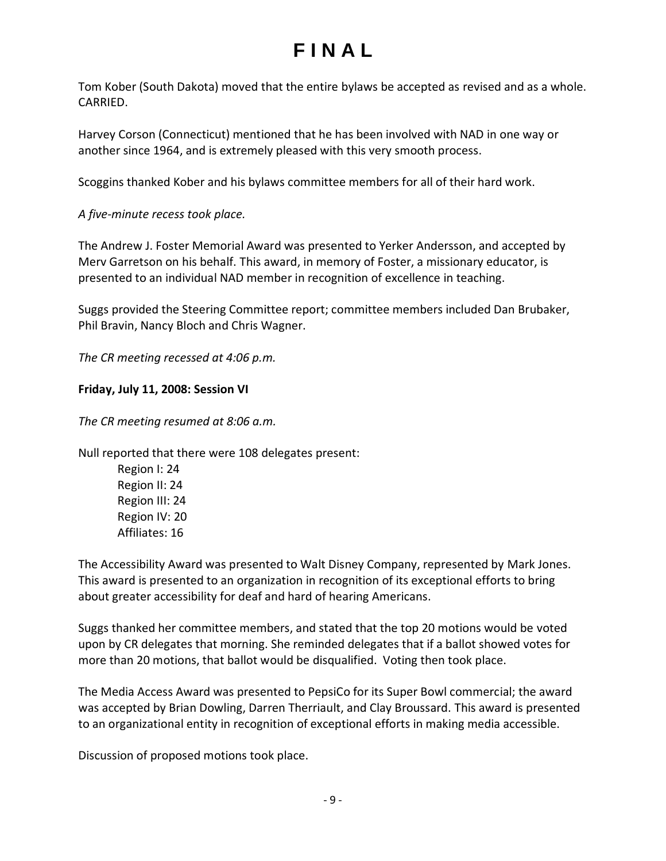Tom Kober (South Dakota) moved that the entire bylaws be accepted as revised and as a whole. CARRIED.

Harvey Corson (Connecticut) mentioned that he has been involved with NAD in one way or another since 1964, and is extremely pleased with this very smooth process.

Scoggins thanked Kober and his bylaws committee members for all of their hard work.

*A five-minute recess took place.*

The Andrew J. Foster Memorial Award was presented to Yerker Andersson, and accepted by Merv Garretson on his behalf. This award, in memory of Foster, a missionary educator, is presented to an individual NAD member in recognition of excellence in teaching.

Suggs provided the Steering Committee report; committee members included Dan Brubaker, Phil Bravin, Nancy Bloch and Chris Wagner.

*The CR meeting recessed at 4:06 p.m.*

### **Friday, July 11, 2008: Session VI**

*The CR meeting resumed at 8:06 a.m.*

Null reported that there were 108 delegates present:

Region I: 24 Region II: 24 Region III: 24 Region IV: 20 Affiliates: 16

The Accessibility Award was presented to Walt Disney Company, represented by Mark Jones. This award is presented to an organization in recognition of its exceptional efforts to bring about greater accessibility for deaf and hard of hearing Americans.

Suggs thanked her committee members, and stated that the top 20 motions would be voted upon by CR delegates that morning. She reminded delegates that if a ballot showed votes for more than 20 motions, that ballot would be disqualified. Voting then took place.

The Media Access Award was presented to PepsiCo for its Super Bowl commercial; the award was accepted by Brian Dowling, Darren Therriault, and Clay Broussard. This award is presented to an organizational entity in recognition of exceptional efforts in making media accessible.

Discussion of proposed motions took place.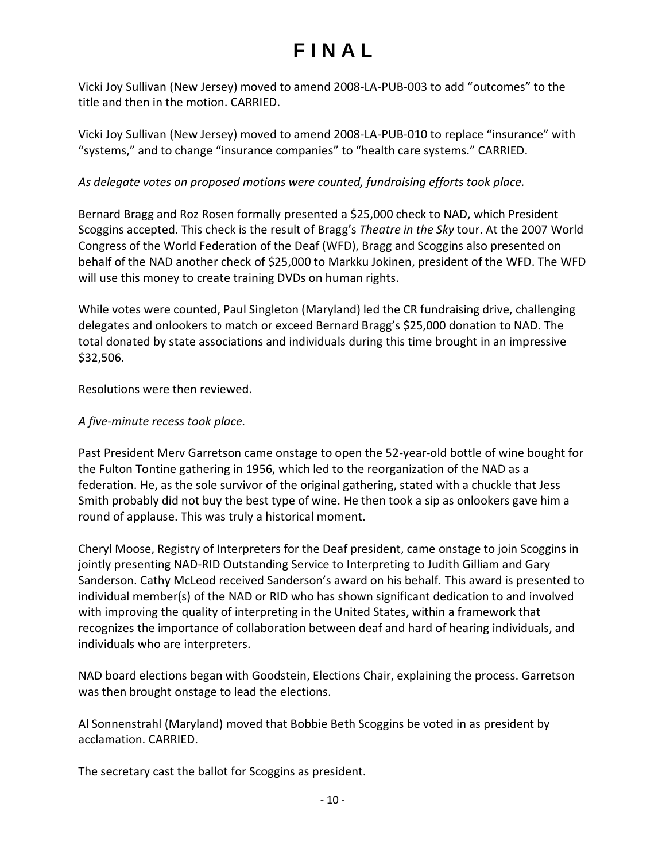Vicki Joy Sullivan (New Jersey) moved to amend 2008-LA-PUB-003 to add "outcomes" to the title and then in the motion. CARRIED.

Vicki Joy Sullivan (New Jersey) moved to amend 2008-LA-PUB-010 to replace "insurance" with "systems," and to change "insurance companies" to "health care systems." CARRIED.

### *As delegate votes on proposed motions were counted, fundraising efforts took place.*

Bernard Bragg and Roz Rosen formally presented a \$25,000 check to NAD, which President Scoggins accepted. This check is the result of Bragg's *Theatre in the Sky* tour. At the 2007 World Congress of the World Federation of the Deaf (WFD), Bragg and Scoggins also presented on behalf of the NAD another check of \$25,000 to Markku Jokinen, president of the WFD. The WFD will use this money to create training DVDs on human rights.

While votes were counted, Paul Singleton (Maryland) led the CR fundraising drive, challenging delegates and onlookers to match or exceed Bernard Bragg's \$25,000 donation to NAD. The total donated by state associations and individuals during this time brought in an impressive \$32,506.

Resolutions were then reviewed.

### *A five-minute recess took place.*

Past President Merv Garretson came onstage to open the 52-year-old bottle of wine bought for the Fulton Tontine gathering in 1956, which led to the reorganization of the NAD as a federation. He, as the sole survivor of the original gathering, stated with a chuckle that Jess Smith probably did not buy the best type of wine. He then took a sip as onlookers gave him a round of applause. This was truly a historical moment.

Cheryl Moose, Registry of Interpreters for the Deaf president, came onstage to join Scoggins in jointly presenting NAD-RID Outstanding Service to Interpreting to Judith Gilliam and Gary Sanderson. Cathy McLeod received Sanderson's award on his behalf. This award is presented to individual member(s) of the NAD or RID who has shown significant dedication to and involved with improving the quality of interpreting in the United States, within a framework that recognizes the importance of collaboration between deaf and hard of hearing individuals, and individuals who are interpreters.

NAD board elections began with Goodstein, Elections Chair, explaining the process. Garretson was then brought onstage to lead the elections.

Al Sonnenstrahl (Maryland) moved that Bobbie Beth Scoggins be voted in as president by acclamation. CARRIED.

The secretary cast the ballot for Scoggins as president.